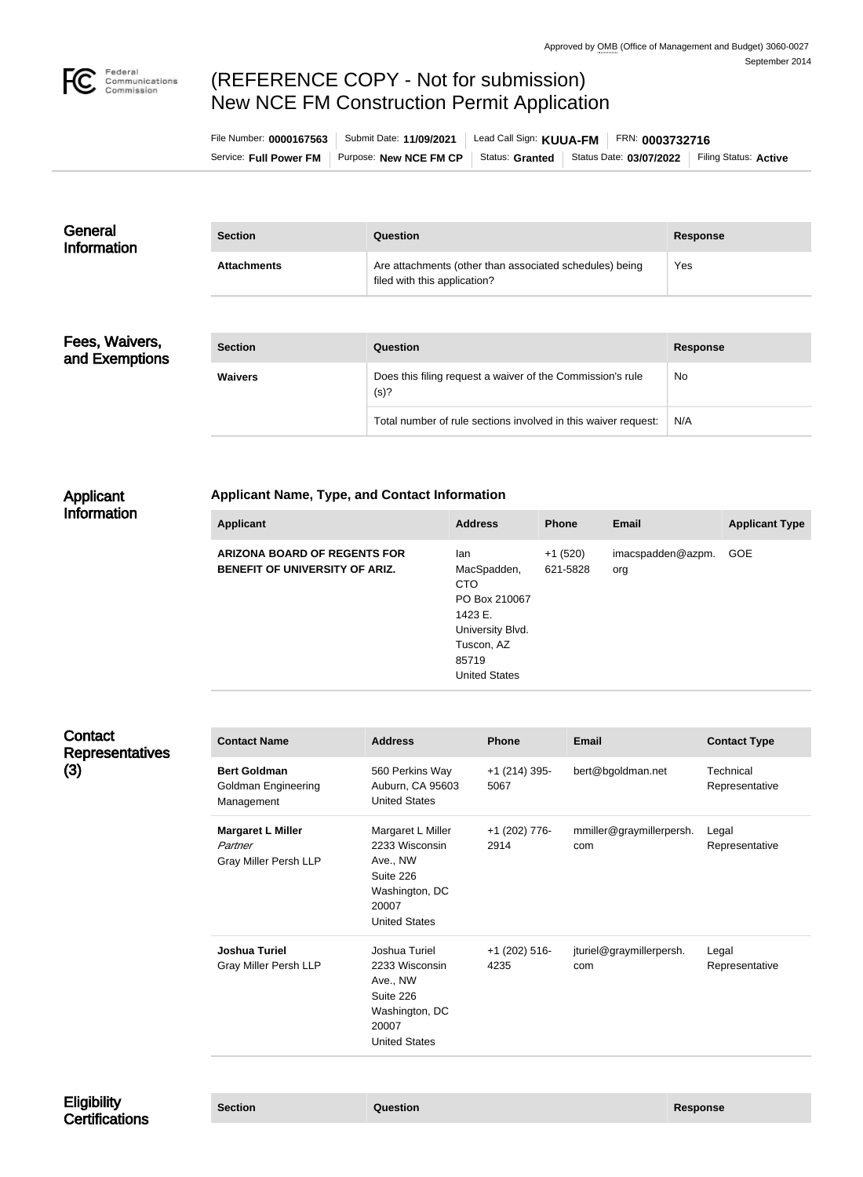

# (REFERENCE COPY - Not for submission) New NCE FM Construction Permit Application

| File Number: 0000167563 | Submit Date: 11/09/2021 | Lead Call Sign: KUUA-FM   F | $F$ RN: 0003732716      |                       |
|-------------------------|-------------------------|-----------------------------|-------------------------|-----------------------|
| Service: Full Power FM  | Purpose: New NCE FM CP  | Status: Granted             | Status Date: 03/07/2022 | Filing Status: Active |

| General<br><b>Information</b> | <b>Section</b>     | Question                                                                                | <b>Response</b> |
|-------------------------------|--------------------|-----------------------------------------------------------------------------------------|-----------------|
|                               | <b>Attachments</b> | Are attachments (other than associated schedules) being<br>filed with this application? | Yes             |

Fees, Waivers, and Exemptions

| <b>Section</b> | Question                                                           | Response  |
|----------------|--------------------------------------------------------------------|-----------|
| <b>Waivers</b> | Does this filing request a waiver of the Commission's rule<br>(s)? | <b>No</b> |
|                | Total number of rule sections involved in this waiver request:     | N/A       |

#### Applicant Information

#### **Applicant Name, Type, and Contact Information**

| <b>Applicant</b>                                                             | <b>Address</b>                                                                                                                  | <b>Phone</b>          | Email                    | <b>Applicant Type</b> |
|------------------------------------------------------------------------------|---------------------------------------------------------------------------------------------------------------------------------|-----------------------|--------------------------|-----------------------|
| <b>ARIZONA BOARD OF REGENTS FOR</b><br><b>BENEFIT OF UNIVERSITY OF ARIZ.</b> | lan<br>MacSpadden,<br><b>CTO</b><br>PO Box 210067<br>1423 E.<br>University Blvd.<br>Tuscon, AZ<br>85719<br><b>United States</b> | $+1(520)$<br>621-5828 | imacspadden@azpm.<br>org | GOE                   |

| Contact<br><b>Representatives</b><br>(3) | <b>Contact Name</b>                                                 | <b>Address</b>                                                                                                  | <b>Phone</b>            | <b>Email</b>                    | <b>Contact Type</b>         |
|------------------------------------------|---------------------------------------------------------------------|-----------------------------------------------------------------------------------------------------------------|-------------------------|---------------------------------|-----------------------------|
|                                          | <b>Bert Goldman</b><br>Goldman Engineering<br>Management            | 560 Perkins Way<br>Auburn, CA 95603<br><b>United States</b>                                                     | +1 (214) 395-<br>5067   | bert@bgoldman.net               | Technical<br>Representative |
|                                          | <b>Margaret L Miller</b><br>Partner<br><b>Gray Miller Persh LLP</b> | Margaret L Miller<br>2233 Wisconsin<br>Ave., NW<br>Suite 226<br>Washington, DC<br>20007<br><b>United States</b> | +1 (202) 776-<br>2914   | mmiller@graymillerpersh.<br>com | Legal<br>Representative     |
|                                          | <b>Joshua Turiel</b><br>Gray Miller Persh LLP                       | Joshua Turiel<br>2233 Wisconsin<br>Ave., NW<br>Suite 226<br>Washington, DC<br>20007<br><b>United States</b>     | $+1$ (202) 516-<br>4235 | jturiel@graymillerpersh.<br>com | Legal<br>Representative     |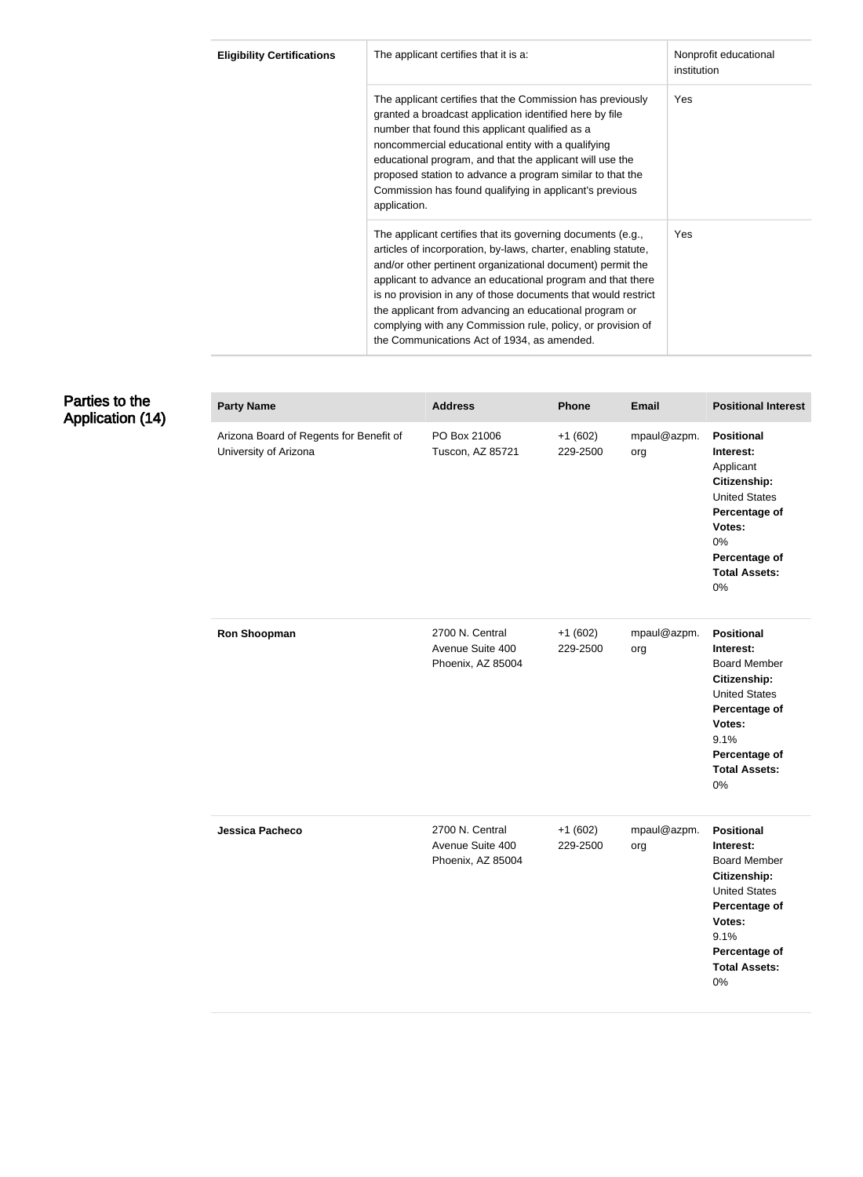| <b>Eligibility Certifications</b> | The applicant certifies that it is a:                                                                                                                                                                                                                                                                                                                                                                                                                                                              | Nonprofit educational<br>institution |
|-----------------------------------|----------------------------------------------------------------------------------------------------------------------------------------------------------------------------------------------------------------------------------------------------------------------------------------------------------------------------------------------------------------------------------------------------------------------------------------------------------------------------------------------------|--------------------------------------|
|                                   | The applicant certifies that the Commission has previously<br>granted a broadcast application identified here by file<br>number that found this applicant qualified as a<br>noncommercial educational entity with a qualifying<br>educational program, and that the applicant will use the<br>proposed station to advance a program similar to that the<br>Commission has found qualifying in applicant's previous<br>application.                                                                 | Yes                                  |
|                                   | The applicant certifies that its governing documents (e.g.,<br>articles of incorporation, by-laws, charter, enabling statute,<br>and/or other pertinent organizational document) permit the<br>applicant to advance an educational program and that there<br>is no provision in any of those documents that would restrict<br>the applicant from advancing an educational program or<br>complying with any Commission rule, policy, or provision of<br>the Communications Act of 1934, as amended. | Yes                                  |

# Parties to the Application (14)

| <b>Party Name</b>                                                | <b>Address</b>                                           | <b>Phone</b>          | <b>Email</b>       | <b>Positional Interest</b>                                                                                                                                                         |
|------------------------------------------------------------------|----------------------------------------------------------|-----------------------|--------------------|------------------------------------------------------------------------------------------------------------------------------------------------------------------------------------|
| Arizona Board of Regents for Benefit of<br>University of Arizona | PO Box 21006<br>Tuscon, AZ 85721                         | $+1(602)$<br>229-2500 | mpaul@azpm.<br>org | <b>Positional</b><br>Interest:<br>Applicant<br>Citizenship:<br><b>United States</b><br>Percentage of<br>Votes:<br>0%<br>Percentage of<br><b>Total Assets:</b><br>0%                |
| <b>Ron Shoopman</b>                                              | 2700 N. Central<br>Avenue Suite 400<br>Phoenix, AZ 85004 | $+1(602)$<br>229-2500 | mpaul@azpm.<br>org | <b>Positional</b><br>Interest:<br><b>Board Member</b><br>Citizenship:<br><b>United States</b><br>Percentage of<br>Votes:<br>9.1%<br>Percentage of<br><b>Total Assets:</b><br>0%    |
| Jessica Pacheco                                                  | 2700 N. Central<br>Avenue Suite 400<br>Phoenix, AZ 85004 | $+1(602)$<br>229-2500 | mpaul@azpm.<br>org | <b>Positional</b><br>Interest:<br><b>Board Member</b><br>Citizenship:<br><b>United States</b><br>Percentage of<br>Votes:<br>9.1%<br>Percentage of<br><b>Total Assets:</b><br>$0\%$ |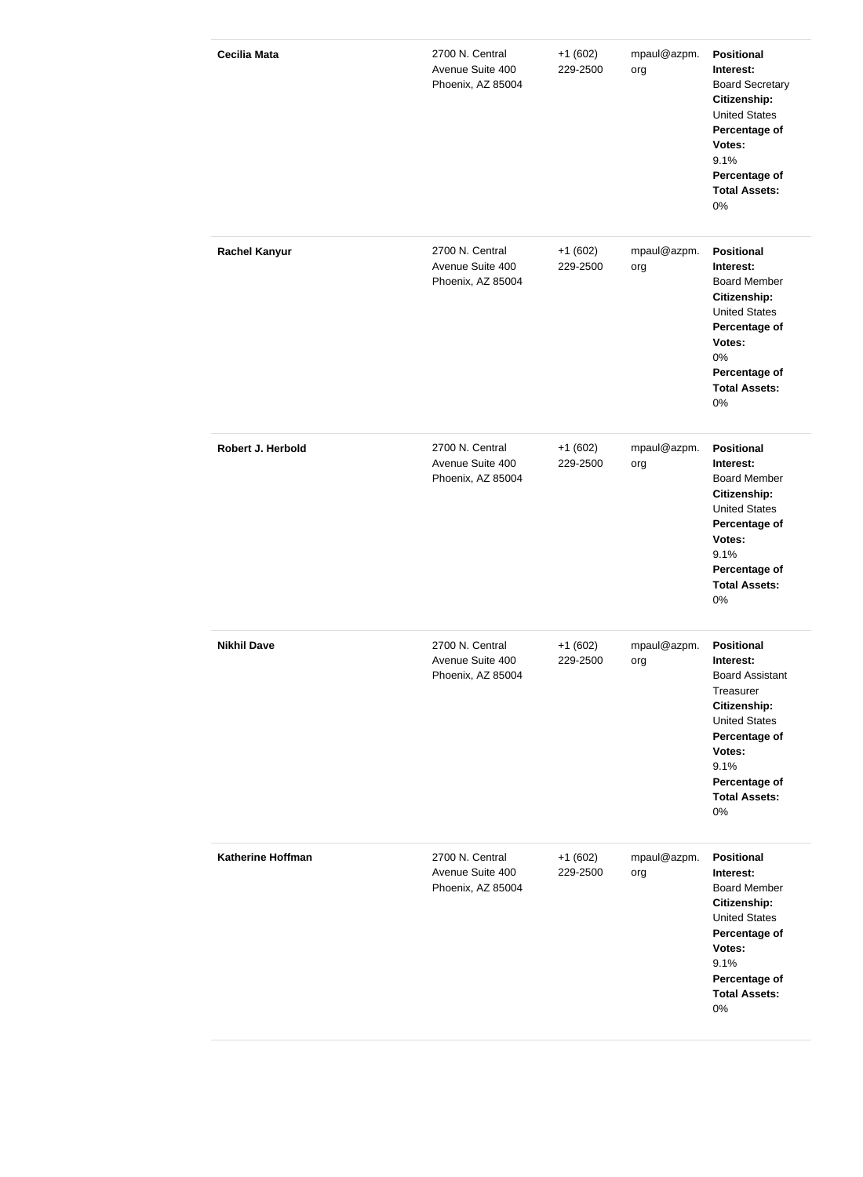| <b>Cecilia Mata</b>      | 2700 N. Central<br>Avenue Suite 400<br>Phoenix, AZ 85004 | $+1(602)$<br>229-2500 | mpaul@azpm.<br>org | <b>Positional</b><br>Interest:<br><b>Board Secretary</b><br>Citizenship:<br><b>United States</b><br>Percentage of<br>Votes:<br>9.1%<br>Percentage of<br><b>Total Assets:</b><br>0%              |
|--------------------------|----------------------------------------------------------|-----------------------|--------------------|-------------------------------------------------------------------------------------------------------------------------------------------------------------------------------------------------|
| <b>Rachel Kanyur</b>     | 2700 N. Central<br>Avenue Suite 400<br>Phoenix, AZ 85004 | $+1(602)$<br>229-2500 | mpaul@azpm.<br>org | <b>Positional</b><br>Interest:<br><b>Board Member</b><br>Citizenship:<br><b>United States</b><br>Percentage of<br>Votes:<br>0%<br>Percentage of<br><b>Total Assets:</b><br>0%                   |
| Robert J. Herbold        | 2700 N. Central<br>Avenue Suite 400<br>Phoenix, AZ 85004 | $+1(602)$<br>229-2500 | mpaul@azpm.<br>org | <b>Positional</b><br>Interest:<br><b>Board Member</b><br>Citizenship:<br><b>United States</b><br>Percentage of<br>Votes:<br>9.1%<br>Percentage of<br><b>Total Assets:</b><br>0%                 |
| <b>Nikhil Dave</b>       | 2700 N. Central<br>Avenue Suite 400<br>Phoenix, AZ 85004 | $+1(602)$<br>229-2500 | mpaul@azpm.<br>org | <b>Positional</b><br>Interest:<br><b>Board Assistant</b><br>Treasurer<br>Citizenship:<br><b>United States</b><br>Percentage of<br>Votes:<br>9.1%<br>Percentage of<br><b>Total Assets:</b><br>0% |
| <b>Katherine Hoffman</b> | 2700 N. Central<br>Avenue Suite 400<br>Phoenix, AZ 85004 | $+1(602)$<br>229-2500 | mpaul@azpm.<br>org | <b>Positional</b><br>Interest:<br><b>Board Member</b><br>Citizenship:<br><b>United States</b><br>Percentage of<br>Votes:<br>9.1%<br>Percentage of<br><b>Total Assets:</b><br>0%                 |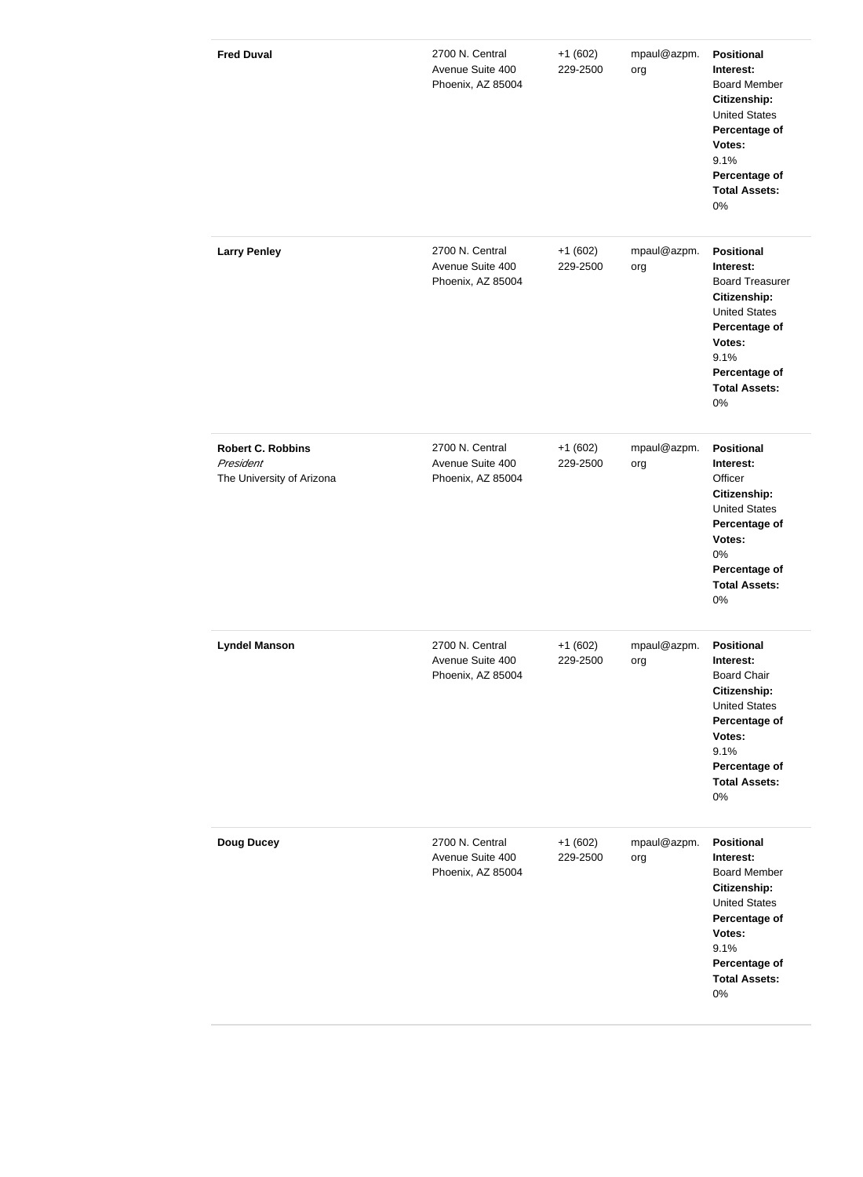| <b>Fred Duval</b>                                                  | 2700 N. Central<br>Avenue Suite 400<br>Phoenix, AZ 85004 | $+1(602)$<br>229-2500 | mpaul@azpm.<br>org | <b>Positional</b><br>Interest:<br><b>Board Member</b><br>Citizenship:<br><b>United States</b><br>Percentage of<br>Votes:<br>9.1%<br>Percentage of<br><b>Total Assets:</b><br>0%    |
|--------------------------------------------------------------------|----------------------------------------------------------|-----------------------|--------------------|------------------------------------------------------------------------------------------------------------------------------------------------------------------------------------|
| <b>Larry Penley</b>                                                | 2700 N. Central<br>Avenue Suite 400<br>Phoenix, AZ 85004 | $+1(602)$<br>229-2500 | mpaul@azpm.<br>org | <b>Positional</b><br>Interest:<br><b>Board Treasurer</b><br>Citizenship:<br><b>United States</b><br>Percentage of<br>Votes:<br>9.1%<br>Percentage of<br><b>Total Assets:</b><br>0% |
| <b>Robert C. Robbins</b><br>President<br>The University of Arizona | 2700 N. Central<br>Avenue Suite 400<br>Phoenix, AZ 85004 | $+1(602)$<br>229-2500 | mpaul@azpm.<br>org | <b>Positional</b><br>Interest:<br>Officer<br>Citizenship:<br><b>United States</b><br>Percentage of<br>Votes:<br>0%<br>Percentage of<br><b>Total Assets:</b><br>0%                  |
| <b>Lyndel Manson</b>                                               | 2700 N. Central<br>Avenue Suite 400<br>Phoenix, AZ 85004 | $+1(602)$<br>229-2500 | mpaul@azpm.<br>org | <b>Positional</b><br>Interest:<br><b>Board Chair</b><br>Citizenship:<br><b>United States</b><br>Percentage of<br>Votes:<br>9.1%<br>Percentage of<br><b>Total Assets:</b><br>0%     |
| <b>Doug Ducey</b>                                                  | 2700 N. Central<br>Avenue Suite 400<br>Phoenix, AZ 85004 | $+1(602)$<br>229-2500 | mpaul@azpm.<br>org | <b>Positional</b><br>Interest:<br><b>Board Member</b><br>Citizenship:<br><b>United States</b><br>Percentage of<br>Votes:<br>9.1%<br>Percentage of<br><b>Total Assets:</b><br>0%    |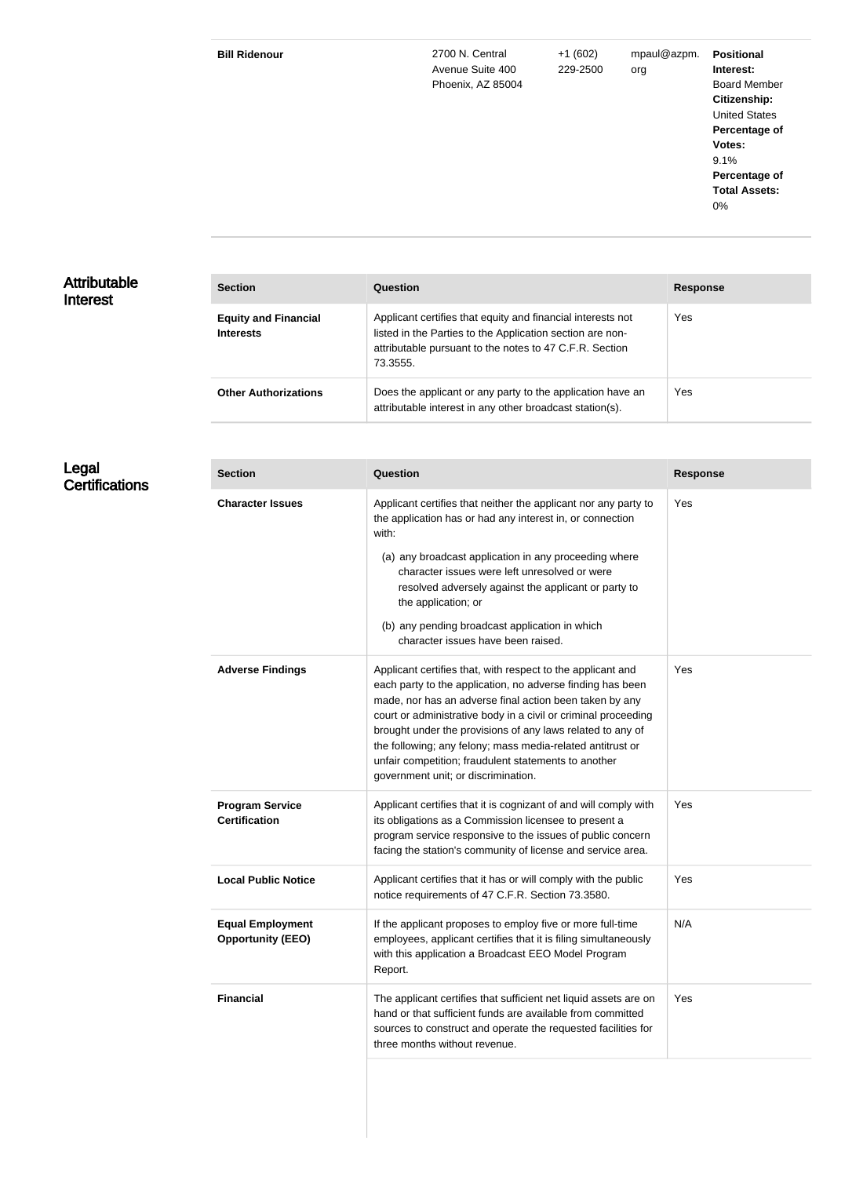| <b>Bill Ridenour</b> | 2700 N. Central   | $+1(602)$ | mpaul@azpm. | <b>Positional</b>    |
|----------------------|-------------------|-----------|-------------|----------------------|
|                      | Avenue Suite 400  | 229-2500  | org         | Interest:            |
|                      | Phoenix, AZ 85004 |           |             | <b>Board Member</b>  |
|                      |                   |           |             | Citizenship:         |
|                      |                   |           |             | <b>United States</b> |
|                      |                   |           |             | Percentage of        |
|                      |                   |           |             | Votes:               |
|                      |                   |           |             | 9.1%                 |
|                      |                   |           |             | Percentage of        |
|                      |                   |           |             | <b>Total Assets:</b> |
|                      |                   |           |             | 0%                   |

### Attributable Interest

| <b>Section</b>                                  | Question                                                                                                                                                                                        | <b>Response</b> |
|-------------------------------------------------|-------------------------------------------------------------------------------------------------------------------------------------------------------------------------------------------------|-----------------|
| <b>Equity and Financial</b><br><b>Interests</b> | Applicant certifies that equity and financial interests not<br>listed in the Parties to the Application section are non-<br>attributable pursuant to the notes to 47 C.F.R. Section<br>73.3555. | Yes             |
| <b>Other Authorizations</b>                     | Does the applicant or any party to the application have an<br>attributable interest in any other broadcast station(s).                                                                          | <b>Yes</b>      |

#### Legal **Certifications**

| <b>Section</b>                                      | Question                                                                                                                                                                                                                                                                                                                                                                                                                                                                          | <b>Response</b> |
|-----------------------------------------------------|-----------------------------------------------------------------------------------------------------------------------------------------------------------------------------------------------------------------------------------------------------------------------------------------------------------------------------------------------------------------------------------------------------------------------------------------------------------------------------------|-----------------|
| <b>Character Issues</b>                             | Applicant certifies that neither the applicant nor any party to<br>the application has or had any interest in, or connection<br>with:<br>(a) any broadcast application in any proceeding where<br>character issues were left unresolved or were<br>resolved adversely against the applicant or party to<br>the application; or<br>(b) any pending broadcast application in which<br>character issues have been raised.                                                            | Yes             |
| <b>Adverse Findings</b>                             | Applicant certifies that, with respect to the applicant and<br>each party to the application, no adverse finding has been<br>made, nor has an adverse final action been taken by any<br>court or administrative body in a civil or criminal proceeding<br>brought under the provisions of any laws related to any of<br>the following; any felony; mass media-related antitrust or<br>unfair competition; fraudulent statements to another<br>government unit; or discrimination. | Yes             |
| <b>Program Service</b><br><b>Certification</b>      | Applicant certifies that it is cognizant of and will comply with<br>its obligations as a Commission licensee to present a<br>program service responsive to the issues of public concern<br>facing the station's community of license and service area.                                                                                                                                                                                                                            | Yes             |
| <b>Local Public Notice</b>                          | Applicant certifies that it has or will comply with the public<br>notice requirements of 47 C.F.R. Section 73.3580.                                                                                                                                                                                                                                                                                                                                                               | Yes             |
| <b>Equal Employment</b><br><b>Opportunity (EEO)</b> | If the applicant proposes to employ five or more full-time<br>employees, applicant certifies that it is filing simultaneously<br>with this application a Broadcast EEO Model Program<br>Report.                                                                                                                                                                                                                                                                                   | N/A             |
| <b>Financial</b>                                    | The applicant certifies that sufficient net liquid assets are on<br>hand or that sufficient funds are available from committed<br>sources to construct and operate the requested facilities for<br>three months without revenue.                                                                                                                                                                                                                                                  | Yes             |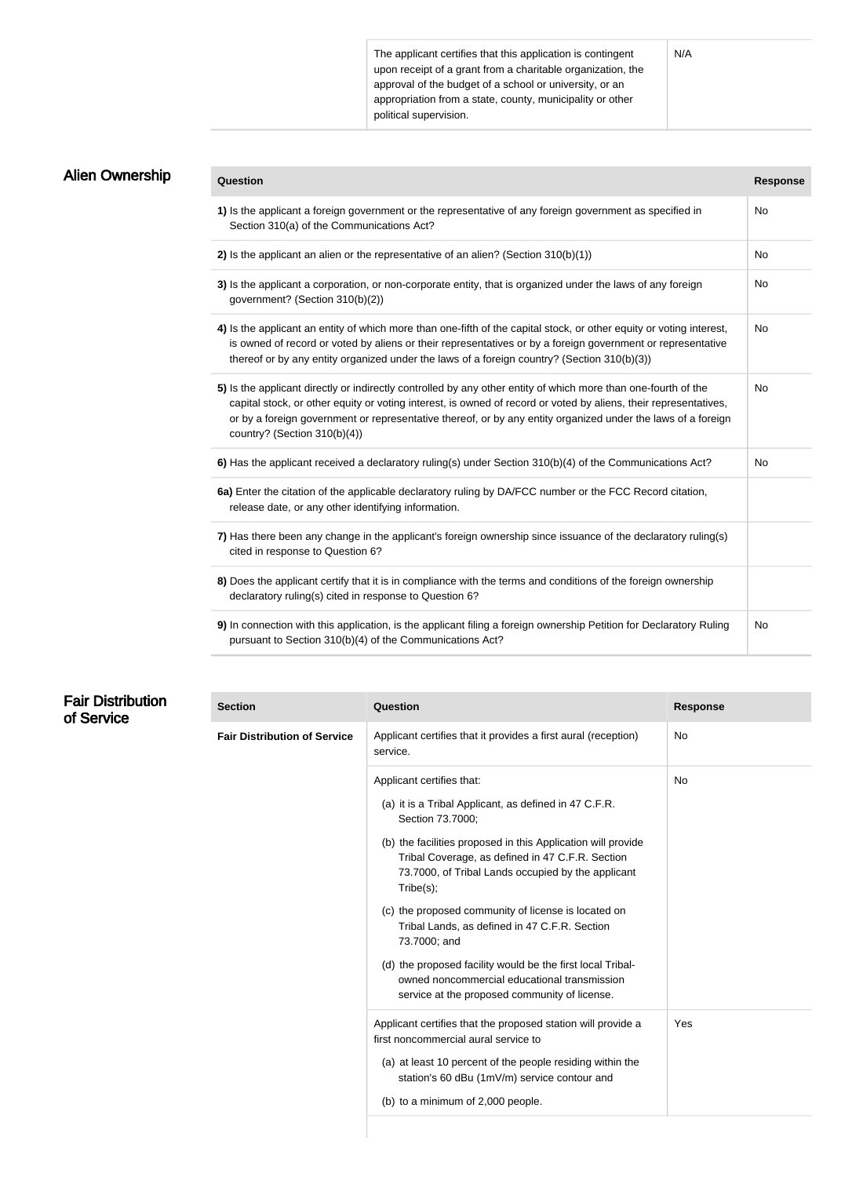The applicant certifies that this application is contingent upon receipt of a grant from a charitable organization, the approval of the budget of a school or university, or an appropriation from a state, county, municipality or other political supervision.

| <b>Alien Ownership</b> | Question                                                                                                                                                                                                                                                                                                                                                                           | <b>Response</b> |
|------------------------|------------------------------------------------------------------------------------------------------------------------------------------------------------------------------------------------------------------------------------------------------------------------------------------------------------------------------------------------------------------------------------|-----------------|
|                        | 1) Is the applicant a foreign government or the representative of any foreign government as specified in<br>Section 310(a) of the Communications Act?                                                                                                                                                                                                                              | No              |
|                        | 2) Is the applicant an alien or the representative of an alien? (Section 310(b)(1))                                                                                                                                                                                                                                                                                                | No              |
|                        | 3) Is the applicant a corporation, or non-corporate entity, that is organized under the laws of any foreign<br>government? (Section 310(b)(2))                                                                                                                                                                                                                                     | No              |
|                        | 4) Is the applicant an entity of which more than one-fifth of the capital stock, or other equity or voting interest,<br>is owned of record or voted by aliens or their representatives or by a foreign government or representative<br>thereof or by any entity organized under the laws of a foreign country? (Section 310(b)(3))                                                 | No              |
|                        | 5) Is the applicant directly or indirectly controlled by any other entity of which more than one-fourth of the<br>capital stock, or other equity or voting interest, is owned of record or voted by aliens, their representatives,<br>or by a foreign government or representative thereof, or by any entity organized under the laws of a foreign<br>country? (Section 310(b)(4)) | No              |
|                        | 6) Has the applicant received a declaratory ruling(s) under Section 310(b)(4) of the Communications Act?                                                                                                                                                                                                                                                                           | No              |
|                        | 6a) Enter the citation of the applicable declaratory ruling by DA/FCC number or the FCC Record citation,<br>release date, or any other identifying information.                                                                                                                                                                                                                    |                 |
|                        | 7) Has there been any change in the applicant's foreign ownership since issuance of the declaratory ruling(s)<br>cited in response to Question 6?                                                                                                                                                                                                                                  |                 |
|                        | 8) Does the applicant certify that it is in compliance with the terms and conditions of the foreign ownership<br>declaratory ruling(s) cited in response to Question 6?                                                                                                                                                                                                            |                 |
|                        | 9) In connection with this application, is the applicant filing a foreign ownership Petition for Declaratory Ruling<br>pursuant to Section 310(b)(4) of the Communications Act?                                                                                                                                                                                                    | No.             |

## Fair Distribution of Service

| <b>Section</b>                      | <b>Question</b>                                                                                                                                                                                                                                                                                                                                                                                                                                                                                                                                                                      | <b>Response</b> |
|-------------------------------------|--------------------------------------------------------------------------------------------------------------------------------------------------------------------------------------------------------------------------------------------------------------------------------------------------------------------------------------------------------------------------------------------------------------------------------------------------------------------------------------------------------------------------------------------------------------------------------------|-----------------|
| <b>Fair Distribution of Service</b> | Applicant certifies that it provides a first aural (reception)<br>service.                                                                                                                                                                                                                                                                                                                                                                                                                                                                                                           | No              |
|                                     | Applicant certifies that:<br>(a) it is a Tribal Applicant, as defined in 47 C.F.R.<br>Section 73.7000;<br>(b) the facilities proposed in this Application will provide<br>Tribal Coverage, as defined in 47 C.F.R. Section<br>73.7000, of Tribal Lands occupied by the applicant<br>Tribe(s);<br>(c) the proposed community of license is located on<br>Tribal Lands, as defined in 47 C.F.R. Section<br>73.7000; and<br>(d) the proposed facility would be the first local Tribal-<br>owned noncommercial educational transmission<br>service at the proposed community of license. | No              |
|                                     | Applicant certifies that the proposed station will provide a<br>first noncommercial aural service to<br>(a) at least 10 percent of the people residing within the<br>station's 60 dBu (1mV/m) service contour and<br>(b) to a minimum of 2,000 people.                                                                                                                                                                                                                                                                                                                               | Yes             |

N/A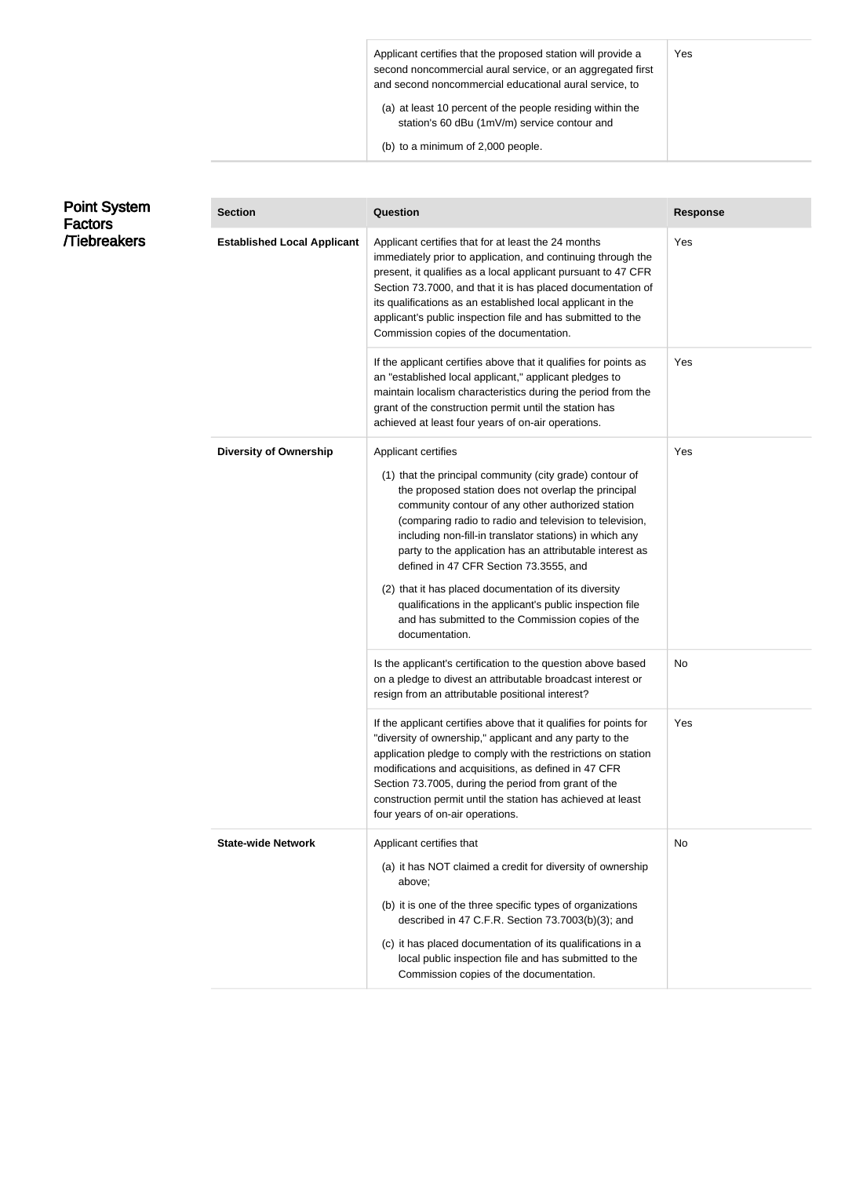| Applicant certifies that the proposed station will provide a<br>second noncommercial aural service, or an aggregated first<br>and second noncommercial educational aural service, to | Yes |
|--------------------------------------------------------------------------------------------------------------------------------------------------------------------------------------|-----|
| (a) at least 10 percent of the people residing within the<br>station's 60 dBu (1mV/m) service contour and                                                                            |     |
| (b) to a minimum of 2,000 people.                                                                                                                                                    |     |

| <b>Point System</b><br>Factors | <b>Section</b>                     | Question                                                                                                                                                                                                                                                                                                                                                                                                                                                                                                                                                                                                            | <b>Response</b> |
|--------------------------------|------------------------------------|---------------------------------------------------------------------------------------------------------------------------------------------------------------------------------------------------------------------------------------------------------------------------------------------------------------------------------------------------------------------------------------------------------------------------------------------------------------------------------------------------------------------------------------------------------------------------------------------------------------------|-----------------|
| /Tiebreakers                   | <b>Established Local Applicant</b> | Applicant certifies that for at least the 24 months<br>immediately prior to application, and continuing through the<br>present, it qualifies as a local applicant pursuant to 47 CFR<br>Section 73.7000, and that it is has placed documentation of<br>its qualifications as an established local applicant in the<br>applicant's public inspection file and has submitted to the<br>Commission copies of the documentation.                                                                                                                                                                                        | Yes             |
|                                |                                    | If the applicant certifies above that it qualifies for points as<br>an "established local applicant," applicant pledges to<br>maintain localism characteristics during the period from the<br>grant of the construction permit until the station has<br>achieved at least four years of on-air operations.                                                                                                                                                                                                                                                                                                          | Yes             |
|                                | <b>Diversity of Ownership</b>      | Applicant certifies<br>(1) that the principal community (city grade) contour of<br>the proposed station does not overlap the principal<br>community contour of any other authorized station<br>(comparing radio to radio and television to television,<br>including non-fill-in translator stations) in which any<br>party to the application has an attributable interest as<br>defined in 47 CFR Section 73.3555, and<br>(2) that it has placed documentation of its diversity<br>qualifications in the applicant's public inspection file<br>and has submitted to the Commission copies of the<br>documentation. | Yes             |
|                                |                                    | Is the applicant's certification to the question above based<br>on a pledge to divest an attributable broadcast interest or<br>resign from an attributable positional interest?                                                                                                                                                                                                                                                                                                                                                                                                                                     | No              |
|                                |                                    | If the applicant certifies above that it qualifies for points for<br>"diversity of ownership," applicant and any party to the<br>application pledge to comply with the restrictions on station<br>modifications and acquisitions, as defined in 47 CFR<br>Section 73.7005, during the period from grant of the<br>construction permit until the station has achieved at least<br>four years of on-air operations.                                                                                                                                                                                                   | Yes             |
|                                | <b>State-wide Network</b>          | Applicant certifies that<br>(a) it has NOT claimed a credit for diversity of ownership<br>above;<br>(b) it is one of the three specific types of organizations<br>described in 47 C.F.R. Section 73.7003(b)(3); and<br>(c) it has placed documentation of its qualifications in a<br>local public inspection file and has submitted to the<br>Commission copies of the documentation.                                                                                                                                                                                                                               | No              |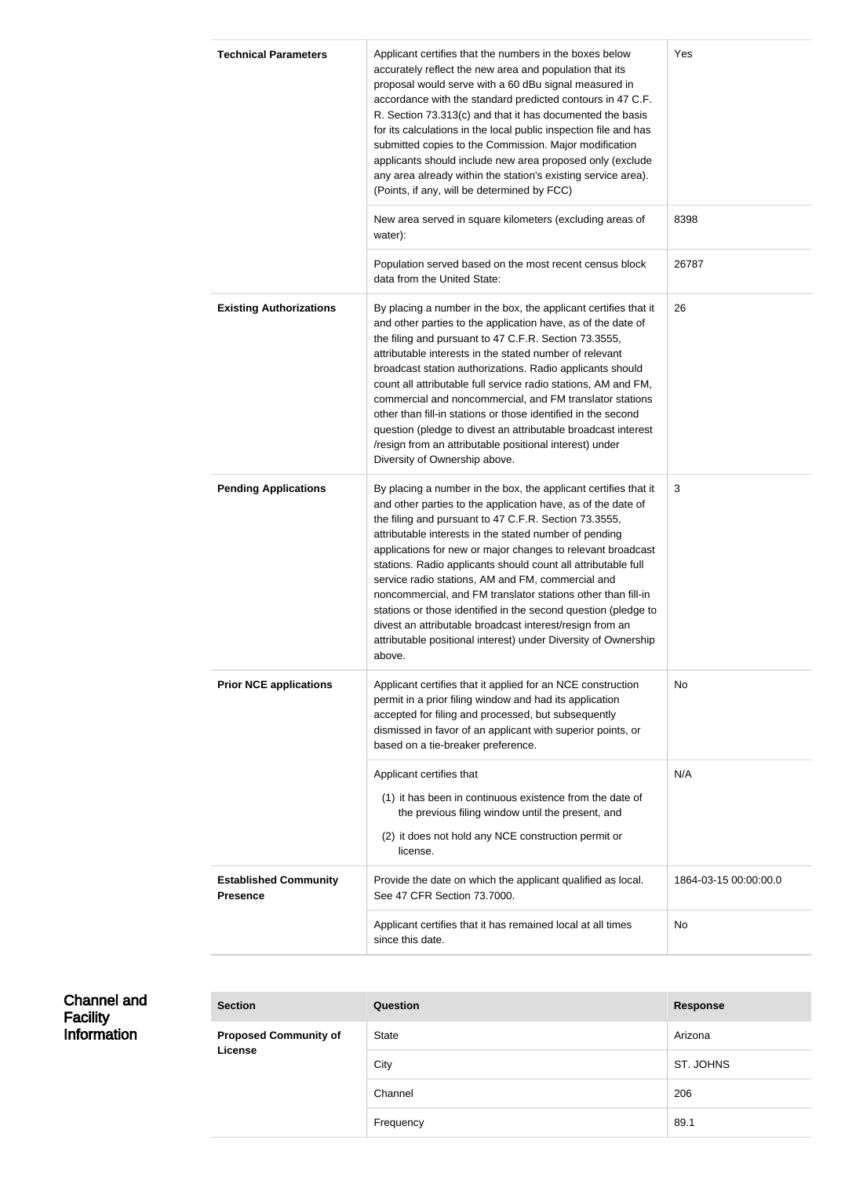| <b>Technical Parameters</b>                     | Applicant certifies that the numbers in the boxes below<br>accurately reflect the new area and population that its<br>proposal would serve with a 60 dBu signal measured in<br>accordance with the standard predicted contours in 47 C.F.<br>R. Section 73.313(c) and that it has documented the basis<br>for its calculations in the local public inspection file and has<br>submitted copies to the Commission. Major modification<br>applicants should include new area proposed only (exclude<br>any area already within the station's existing service area).<br>(Points, if any, will be determined by FCC)                                                                                                 | Yes                   |
|-------------------------------------------------|-------------------------------------------------------------------------------------------------------------------------------------------------------------------------------------------------------------------------------------------------------------------------------------------------------------------------------------------------------------------------------------------------------------------------------------------------------------------------------------------------------------------------------------------------------------------------------------------------------------------------------------------------------------------------------------------------------------------|-----------------------|
|                                                 | New area served in square kilometers (excluding areas of<br>water):                                                                                                                                                                                                                                                                                                                                                                                                                                                                                                                                                                                                                                               | 8398                  |
|                                                 | Population served based on the most recent census block<br>data from the United State:                                                                                                                                                                                                                                                                                                                                                                                                                                                                                                                                                                                                                            | 26787                 |
| <b>Existing Authorizations</b>                  | By placing a number in the box, the applicant certifies that it<br>and other parties to the application have, as of the date of<br>the filing and pursuant to 47 C.F.R. Section 73.3555,<br>attributable interests in the stated number of relevant<br>broadcast station authorizations. Radio applicants should<br>count all attributable full service radio stations, AM and FM,<br>commercial and noncommercial, and FM translator stations<br>other than fill-in stations or those identified in the second<br>question (pledge to divest an attributable broadcast interest<br>/resign from an attributable positional interest) under<br>Diversity of Ownership above.                                      | 26                    |
| <b>Pending Applications</b>                     | By placing a number in the box, the applicant certifies that it<br>and other parties to the application have, as of the date of<br>the filing and pursuant to 47 C.F.R. Section 73.3555,<br>attributable interests in the stated number of pending<br>applications for new or major changes to relevant broadcast<br>stations. Radio applicants should count all attributable full<br>service radio stations, AM and FM, commercial and<br>noncommercial, and FM translator stations other than fill-in<br>stations or those identified in the second question (pledge to<br>divest an attributable broadcast interest/resign from an<br>attributable positional interest) under Diversity of Ownership<br>above. | 3                     |
| <b>Prior NCE applications</b>                   | Applicant certifies that it applied for an NCE construction<br>permit in a prior filing window and had its application<br>accepted for filing and processed, but subsequently<br>dismissed in favor of an applicant with superior points, or<br>based on a tie-breaker preference.                                                                                                                                                                                                                                                                                                                                                                                                                                | No                    |
|                                                 | Applicant certifies that<br>(1) it has been in continuous existence from the date of<br>the previous filing window until the present, and<br>(2) it does not hold any NCE construction permit or<br>license.                                                                                                                                                                                                                                                                                                                                                                                                                                                                                                      | N/A                   |
| <b>Established Community</b><br><b>Presence</b> | Provide the date on which the applicant qualified as local.<br>See 47 CFR Section 73.7000.                                                                                                                                                                                                                                                                                                                                                                                                                                                                                                                                                                                                                        | 1864-03-15 00:00:00.0 |
|                                                 | Applicant certifies that it has remained local at all times<br>since this date.                                                                                                                                                                                                                                                                                                                                                                                                                                                                                                                                                                                                                                   | No                    |

| <b>Channel and</b><br><b>Facility</b><br><b>Information</b> | <b>Section</b>               | Question  | <b>Response</b> |
|-------------------------------------------------------------|------------------------------|-----------|-----------------|
|                                                             | <b>Proposed Community of</b> | State     | Arizona         |
|                                                             | License                      | City      | ST. JOHNS       |
|                                                             |                              | Channel   | 206             |
|                                                             |                              | Frequency | 89.1            |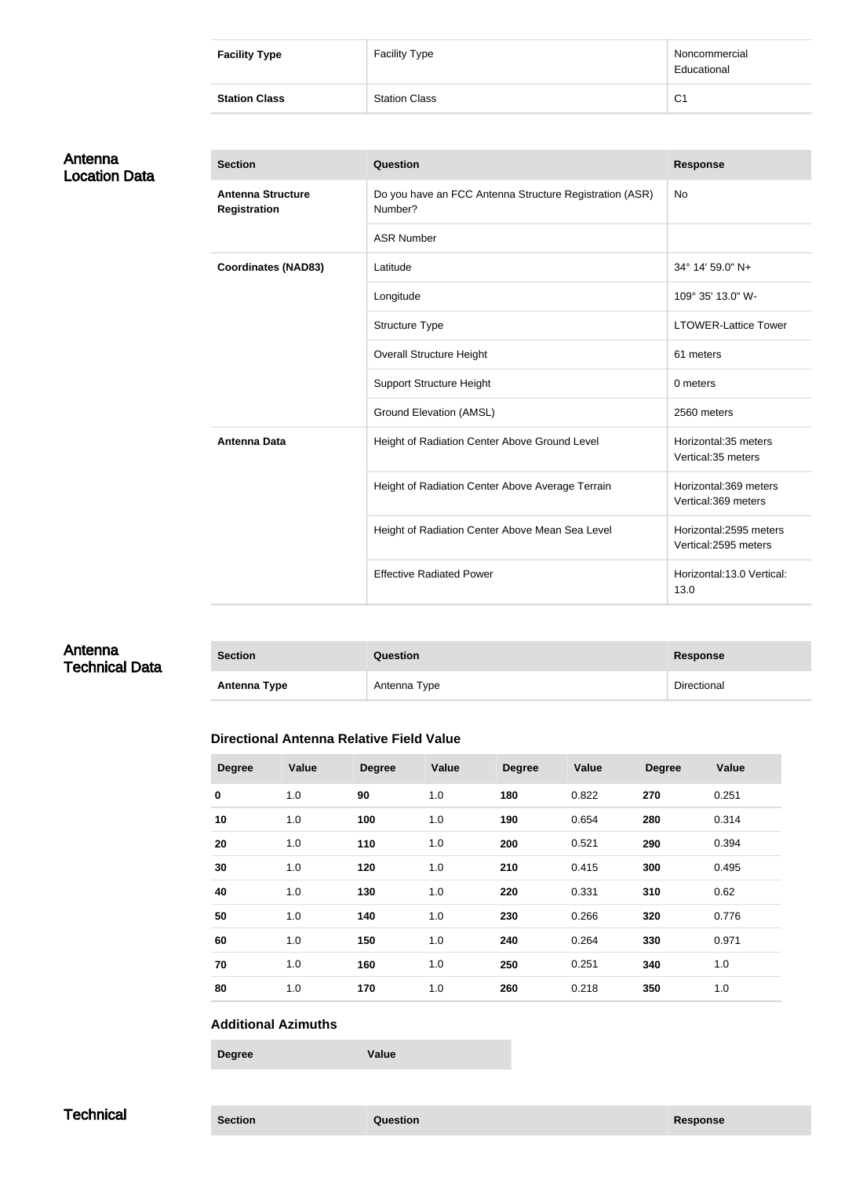| <b>Facility Type</b> | <b>Facility Type</b> | Noncommercial<br>Educational |
|----------------------|----------------------|------------------------------|
| <b>Station Class</b> | <b>Station Class</b> | C <sub>1</sub>               |

| Antenna              |  |
|----------------------|--|
| <b>Location Data</b> |  |

| <b>Section</b>                                  | Question                                                           | <b>Response</b>                                |
|-------------------------------------------------|--------------------------------------------------------------------|------------------------------------------------|
| <b>Antenna Structure</b><br><b>Registration</b> | Do you have an FCC Antenna Structure Registration (ASR)<br>Number? | <b>No</b>                                      |
|                                                 | <b>ASR Number</b>                                                  |                                                |
| <b>Coordinates (NAD83)</b>                      | Latitude                                                           | 34° 14' 59.0" N+                               |
|                                                 | Longitude                                                          | 109° 35' 13.0" W-                              |
|                                                 | Structure Type                                                     | <b>LTOWER-Lattice Tower</b>                    |
|                                                 | <b>Overall Structure Height</b>                                    | 61 meters                                      |
|                                                 | <b>Support Structure Height</b>                                    | 0 meters                                       |
|                                                 | <b>Ground Elevation (AMSL)</b>                                     | 2560 meters                                    |
| <b>Antenna Data</b>                             | Height of Radiation Center Above Ground Level                      | Horizontal: 35 meters<br>Vertical:35 meters    |
|                                                 | Height of Radiation Center Above Average Terrain                   | Horizontal:369 meters<br>Vertical:369 meters   |
|                                                 | Height of Radiation Center Above Mean Sea Level                    | Horizontal:2595 meters<br>Vertical:2595 meters |
|                                                 | <b>Effective Radiated Power</b>                                    | Horizontal:13.0 Vertical:<br>13.0              |

#### Antenna Technical Data

| <b>Section</b>      | Question     | <b>Response</b> |
|---------------------|--------------|-----------------|
| <b>Antenna Type</b> | Antenna Type | Directional     |

#### **Directional Antenna Relative Field Value**

| <b>Degree</b> | Value | <b>Degree</b> | Value | <b>Degree</b> | Value | <b>Degree</b> | Value |
|---------------|-------|---------------|-------|---------------|-------|---------------|-------|
| $\pmb{0}$     | 1.0   | 90            | 1.0   | 180           | 0.822 | 270           | 0.251 |
| 10            | 1.0   | 100           | 1.0   | 190           | 0.654 | 280           | 0.314 |
| 20            | 1.0   | 110           | 1.0   | 200           | 0.521 | 290           | 0.394 |
| 30            | 1.0   | 120           | 1.0   | 210           | 0.415 | 300           | 0.495 |
| 40            | 1.0   | 130           | 1.0   | 220           | 0.331 | 310           | 0.62  |
| 50            | 1.0   | 140           | 1.0   | 230           | 0.266 | 320           | 0.776 |
| 60            | 1.0   | 150           | 1.0   | 240           | 0.264 | 330           | 0.971 |
| 70            | 1.0   | 160           | 1.0   | 250           | 0.251 | 340           | 1.0   |
| 80            | 1.0   | 170           | 1.0   | 260           | 0.218 | 350           | 1.0   |

#### **Additional Azimuths**

**Degree Value**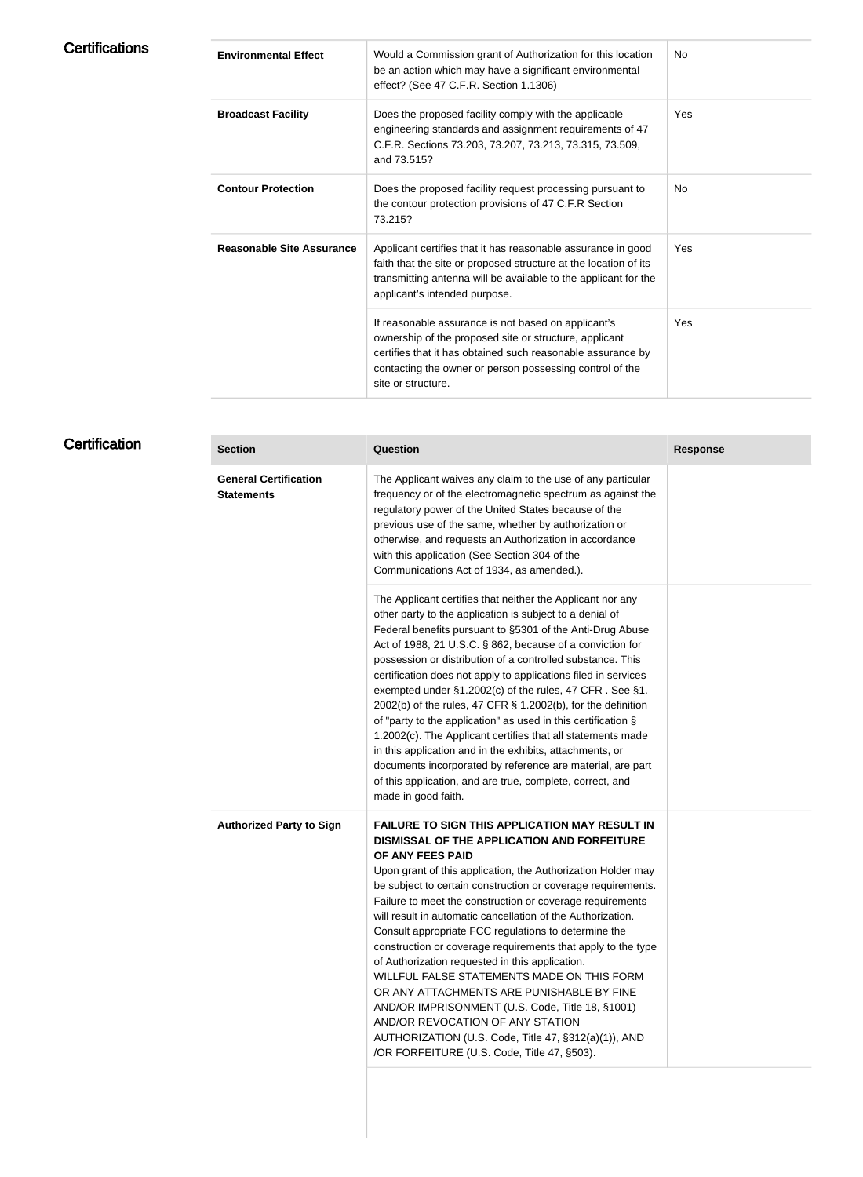| <b>Environmental Effect</b>      | Would a Commission grant of Authorization for this location<br>be an action which may have a significant environmental<br>effect? (See 47 C.F.R. Section 1.1306)                                                                                               | No.        |
|----------------------------------|----------------------------------------------------------------------------------------------------------------------------------------------------------------------------------------------------------------------------------------------------------------|------------|
| <b>Broadcast Facility</b>        | Does the proposed facility comply with the applicable<br>engineering standards and assignment requirements of 47<br>C.F.R. Sections 73.203, 73.207, 73.213, 73.315, 73.509,<br>and 73.515?                                                                     | <b>Yes</b> |
| <b>Contour Protection</b>        | Does the proposed facility request processing pursuant to<br>the contour protection provisions of 47 C.F.R Section<br>73.215?                                                                                                                                  | No.        |
| <b>Reasonable Site Assurance</b> | Applicant certifies that it has reasonable assurance in good<br>faith that the site or proposed structure at the location of its<br>transmitting antenna will be available to the applicant for the<br>applicant's intended purpose.                           | <b>Yes</b> |
|                                  | If reasonable assurance is not based on applicant's<br>ownership of the proposed site or structure, applicant<br>certifies that it has obtained such reasonable assurance by<br>contacting the owner or person possessing control of the<br>site or structure. | <b>Yes</b> |
|                                  |                                                                                                                                                                                                                                                                |            |

### **Certification**

| <b>Section</b>                                    | <b>Question</b>                                                                                                                                                                                                                                                                                                                                                                                                                                                                                                                                                                                                                                                                                                                                                                                                                                           | <b>Response</b> |
|---------------------------------------------------|-----------------------------------------------------------------------------------------------------------------------------------------------------------------------------------------------------------------------------------------------------------------------------------------------------------------------------------------------------------------------------------------------------------------------------------------------------------------------------------------------------------------------------------------------------------------------------------------------------------------------------------------------------------------------------------------------------------------------------------------------------------------------------------------------------------------------------------------------------------|-----------------|
| <b>General Certification</b><br><b>Statements</b> | The Applicant waives any claim to the use of any particular<br>frequency or of the electromagnetic spectrum as against the<br>regulatory power of the United States because of the<br>previous use of the same, whether by authorization or<br>otherwise, and requests an Authorization in accordance<br>with this application (See Section 304 of the<br>Communications Act of 1934, as amended.).                                                                                                                                                                                                                                                                                                                                                                                                                                                       |                 |
|                                                   | The Applicant certifies that neither the Applicant nor any<br>other party to the application is subject to a denial of<br>Federal benefits pursuant to §5301 of the Anti-Drug Abuse<br>Act of 1988, 21 U.S.C. § 862, because of a conviction for<br>possession or distribution of a controlled substance. This<br>certification does not apply to applications filed in services<br>exempted under §1.2002(c) of the rules, 47 CFR. See §1.<br>2002(b) of the rules, 47 CFR § 1.2002(b), for the definition<br>of "party to the application" as used in this certification §<br>1.2002(c). The Applicant certifies that all statements made<br>in this application and in the exhibits, attachments, or<br>documents incorporated by reference are material, are part<br>of this application, and are true, complete, correct, and<br>made in good faith. |                 |
| <b>Authorized Party to Sign</b>                   | <b>FAILURE TO SIGN THIS APPLICATION MAY RESULT IN</b><br>DISMISSAL OF THE APPLICATION AND FORFEITURE<br>OF ANY FEES PAID<br>Upon grant of this application, the Authorization Holder may<br>be subject to certain construction or coverage requirements.<br>Failure to meet the construction or coverage requirements<br>will result in automatic cancellation of the Authorization.<br>Consult appropriate FCC regulations to determine the<br>construction or coverage requirements that apply to the type<br>of Authorization requested in this application.<br>WILLFUL FALSE STATEMENTS MADE ON THIS FORM<br>OR ANY ATTACHMENTS ARE PUNISHABLE BY FINE<br>AND/OR IMPRISONMENT (U.S. Code, Title 18, §1001)<br>AND/OR REVOCATION OF ANY STATION<br>AUTHORIZATION (U.S. Code, Title 47, §312(a)(1)), AND<br>/OR FORFEITURE (U.S. Code, Title 47, §503). |                 |